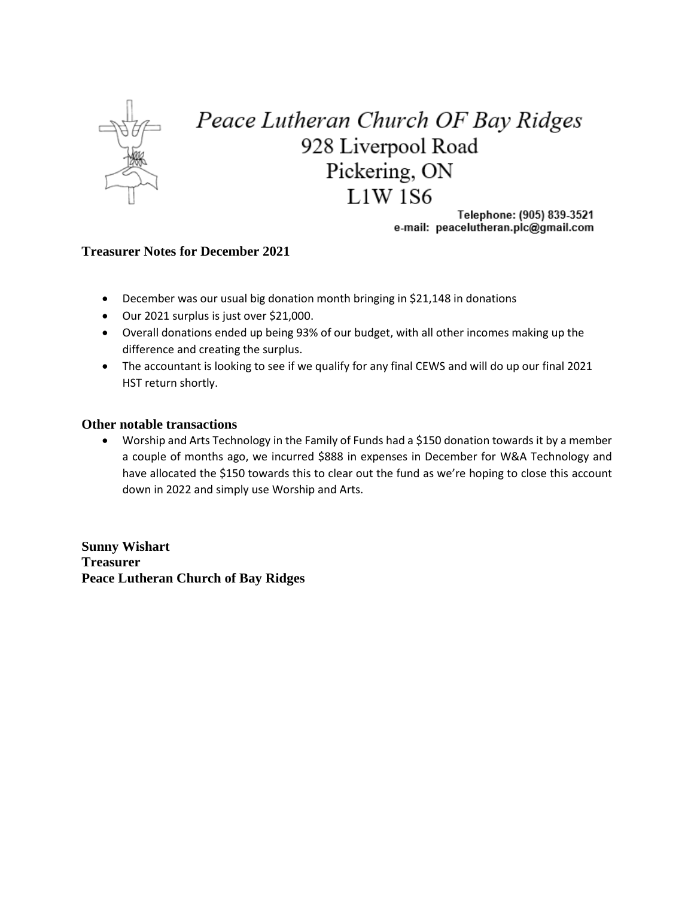

## Peace Lutheran Church OF Bay Ridges 928 Liverpool Road Pickering, ON  $L1W$  1S6

Telephone: (905) 839-3521 e-mail: peacelutheran.plc@gmail.com

## **Treasurer Notes for December 2021**

- December was our usual big donation month bringing in \$21,148 in donations
- Our 2021 surplus is just over \$21,000.
- Overall donations ended up being 93% of our budget, with all other incomes making up the difference and creating the surplus.
- The accountant is looking to see if we qualify for any final CEWS and will do up our final 2021 HST return shortly.

## **Other notable transactions**

• Worship and Arts Technology in the Family of Funds had a \$150 donation towards it by a member a couple of months ago, we incurred \$888 in expenses in December for W&A Technology and have allocated the \$150 towards this to clear out the fund as we're hoping to close this account down in 2022 and simply use Worship and Arts.

**Sunny Wishart Treasurer Peace Lutheran Church of Bay Ridges**